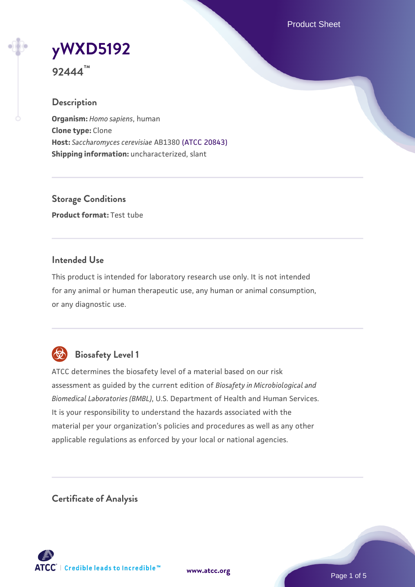Product Sheet

# **[yWXD5192](https://www.atcc.org/products/92444)**

**92444™**

## **Description**

**Organism:** *Homo sapiens*, human **Clone type:** Clone **Host:** *Saccharomyces cerevisiae* AB1380 [\(ATCC 20843\)](https://www.atcc.org/products/20843) **Shipping information:** uncharacterized, slant

**Storage Conditions Product format:** Test tube

## **Intended Use**

This product is intended for laboratory research use only. It is not intended for any animal or human therapeutic use, any human or animal consumption, or any diagnostic use.



# **Biosafety Level 1**

ATCC determines the biosafety level of a material based on our risk assessment as guided by the current edition of *Biosafety in Microbiological and Biomedical Laboratories (BMBL)*, U.S. Department of Health and Human Services. It is your responsibility to understand the hazards associated with the material per your organization's policies and procedures as well as any other applicable regulations as enforced by your local or national agencies.

**Certificate of Analysis**

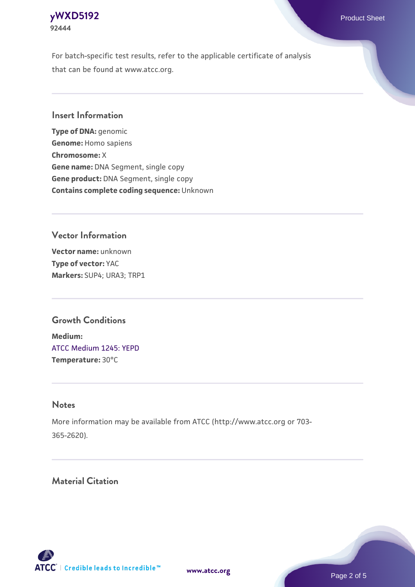## **[yWXD5192](https://www.atcc.org/products/92444)** Product Sheet **92444**

For batch-specific test results, refer to the applicable certificate of analysis that can be found at www.atcc.org.

## **Insert Information**

**Type of DNA:** genomic **Genome:** Homo sapiens **Chromosome:** X **Gene name:** DNA Segment, single copy **Gene product:** DNA Segment, single copy **Contains complete coding sequence:** Unknown

## **Vector Information**

**Vector name:** unknown **Type of vector:** YAC **Markers:** SUP4; URA3; TRP1

## **Growth Conditions**

**Medium:**  [ATCC Medium 1245: YEPD](https://www.atcc.org/-/media/product-assets/documents/microbial-media-formulations/1/2/4/5/atcc-medium-1245.pdf?rev=705ca55d1b6f490a808a965d5c072196) **Temperature:** 30°C

#### **Notes**

More information may be available from ATCC (http://www.atcc.org or 703- 365-2620).

## **Material Citation**



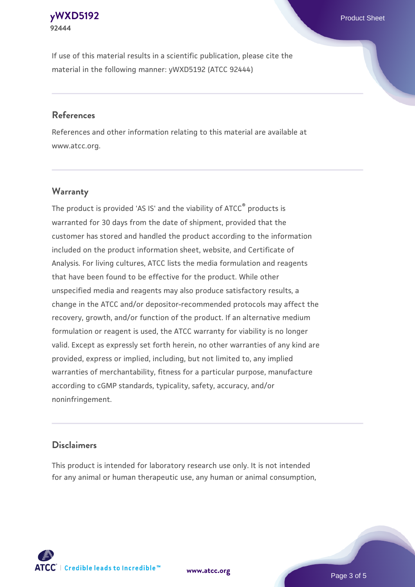### **[yWXD5192](https://www.atcc.org/products/92444)** Product Sheet **92444**

If use of this material results in a scientific publication, please cite the material in the following manner: yWXD5192 (ATCC 92444)

### **References**

References and other information relating to this material are available at www.atcc.org.

## **Warranty**

The product is provided 'AS IS' and the viability of  $ATCC<sup>®</sup>$  products is warranted for 30 days from the date of shipment, provided that the customer has stored and handled the product according to the information included on the product information sheet, website, and Certificate of Analysis. For living cultures, ATCC lists the media formulation and reagents that have been found to be effective for the product. While other unspecified media and reagents may also produce satisfactory results, a change in the ATCC and/or depositor-recommended protocols may affect the recovery, growth, and/or function of the product. If an alternative medium formulation or reagent is used, the ATCC warranty for viability is no longer valid. Except as expressly set forth herein, no other warranties of any kind are provided, express or implied, including, but not limited to, any implied warranties of merchantability, fitness for a particular purpose, manufacture according to cGMP standards, typicality, safety, accuracy, and/or noninfringement.

### **Disclaimers**

This product is intended for laboratory research use only. It is not intended for any animal or human therapeutic use, any human or animal consumption,

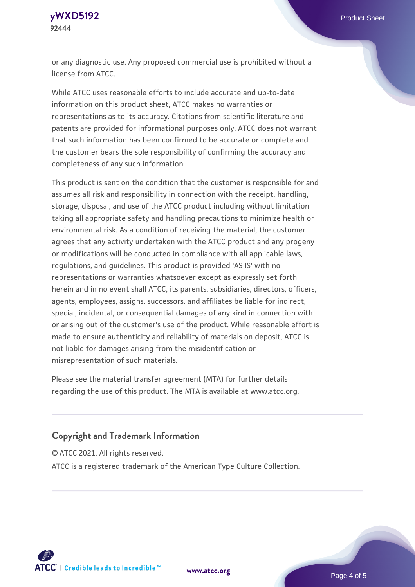

or any diagnostic use. Any proposed commercial use is prohibited without a license from ATCC.

While ATCC uses reasonable efforts to include accurate and up-to-date information on this product sheet, ATCC makes no warranties or representations as to its accuracy. Citations from scientific literature and patents are provided for informational purposes only. ATCC does not warrant that such information has been confirmed to be accurate or complete and the customer bears the sole responsibility of confirming the accuracy and completeness of any such information.

This product is sent on the condition that the customer is responsible for and assumes all risk and responsibility in connection with the receipt, handling, storage, disposal, and use of the ATCC product including without limitation taking all appropriate safety and handling precautions to minimize health or environmental risk. As a condition of receiving the material, the customer agrees that any activity undertaken with the ATCC product and any progeny or modifications will be conducted in compliance with all applicable laws, regulations, and guidelines. This product is provided 'AS IS' with no representations or warranties whatsoever except as expressly set forth herein and in no event shall ATCC, its parents, subsidiaries, directors, officers, agents, employees, assigns, successors, and affiliates be liable for indirect, special, incidental, or consequential damages of any kind in connection with or arising out of the customer's use of the product. While reasonable effort is made to ensure authenticity and reliability of materials on deposit, ATCC is not liable for damages arising from the misidentification or misrepresentation of such materials.

Please see the material transfer agreement (MTA) for further details regarding the use of this product. The MTA is available at www.atcc.org.

### **Copyright and Trademark Information**

© ATCC 2021. All rights reserved.

ATCC is a registered trademark of the American Type Culture Collection.



**[www.atcc.org](http://www.atcc.org)**

Page 4 of 5